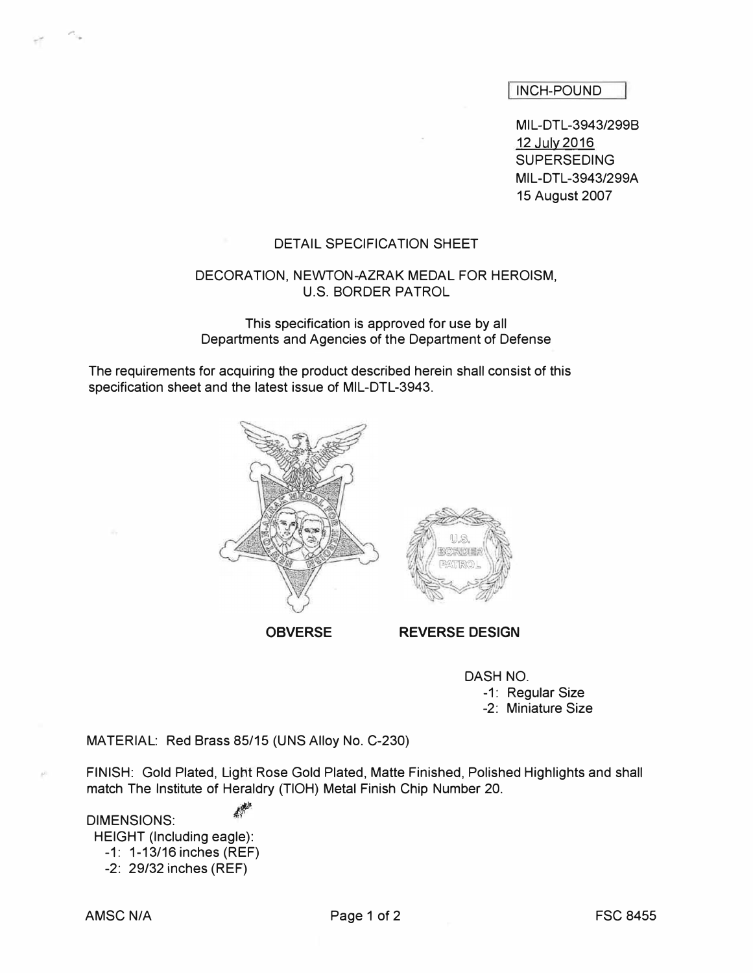INCH-POUND

MIL-DTL-3943/2998 12 July 2016 SUPERSEDING MIL-DTL-3943/299A 15 August 2007

#### DETAIL SPECIFICATION SHEET

#### DECORATION, NEWTON-AZRAK MEDAL FOR HEROISM, U.S. BORDER PATROL

This specification is approved for use by all Departments and Agencies of the Department of Defense

The requirements for acquiring the product described herein shall consist of this specification sheet and the latest issue of MIL-DTL-3943.



OBVERSE REVERSE DESIGN

DASH NO.

-1: Regular Size

-2: Miniature Size

MATERIAL: Red Brass 85/15 (UNS Alloy No. C-230)

FINISH: Gold Plated, Light Rose Gold Plated, Matte Finished, Polished Highlights and shall match The Institute of Heraldry (TIOH) Metal Finish Chip Number 20.

DIMENSIONS: HEIGHT (Including eagle): -1: 1-13/16 inches (REF) -2: 29/32 inches (REF)

,.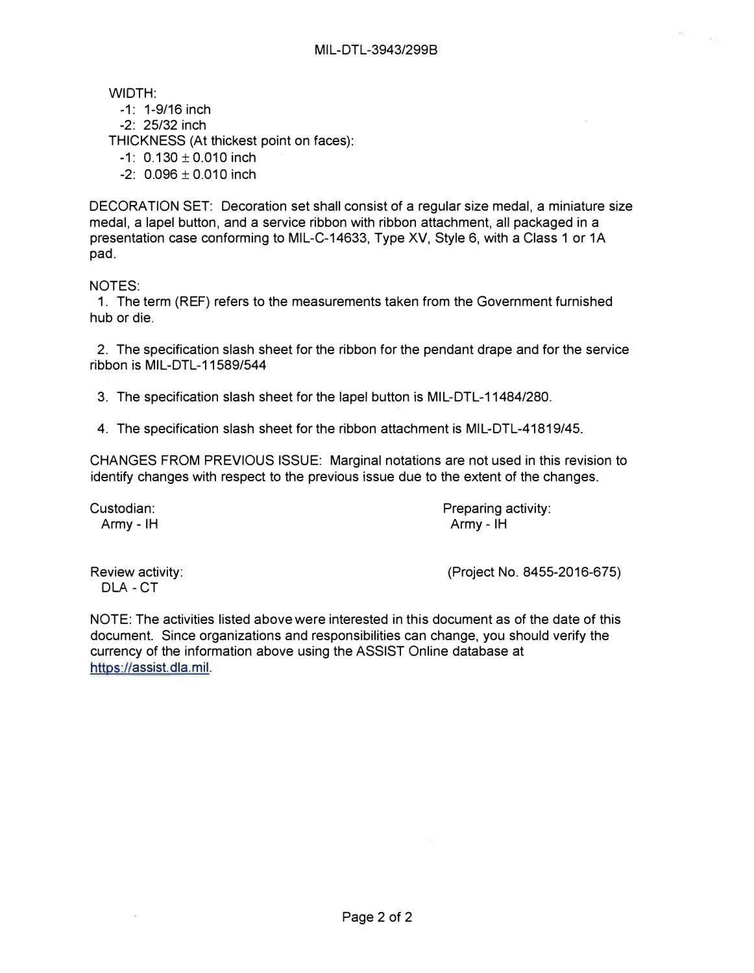WIDTH:

- -1: 1-9/16 inch
- -2: 25/32 inch

THICKNESS (At thickest point on faces):

- $-1: 0.130 \pm 0.010$  inch
- $-2$ : 0.096  $\pm$  0.010 inch

DECORATION SET: Decoration set shall consist of a regular size medal, a miniature size medal, a lapel button, and a service ribbon with ribbon attachment, all packaged in a presentation case conforming to MIL-C-14633, Type XV, Style 6, with a Class 1 or 1A pad.

# NOTES:

1. The term (REF) refers to the measurements taken from the Government furnished hub or die.

2. The specification slash sheet for the ribbon for the pendant drape and for the service ribbon is MIL-DTL-11589/544

3. The specification slash sheet for the lapel button is MIL-DTL-11484/280.

4. The specification slash sheet for the ribbon attachment is MIL-DTL-41819/45.

CHANGES FROM PREVIOUS ISSUE: Marginal notations are not used in this revision to identify changes with respect to the previous issue due to the extent of the changes.

Custodian: Preparing activity: Army - IH Army - IH

DLA- CT

Review activity: (Project No. 8455-2016-675)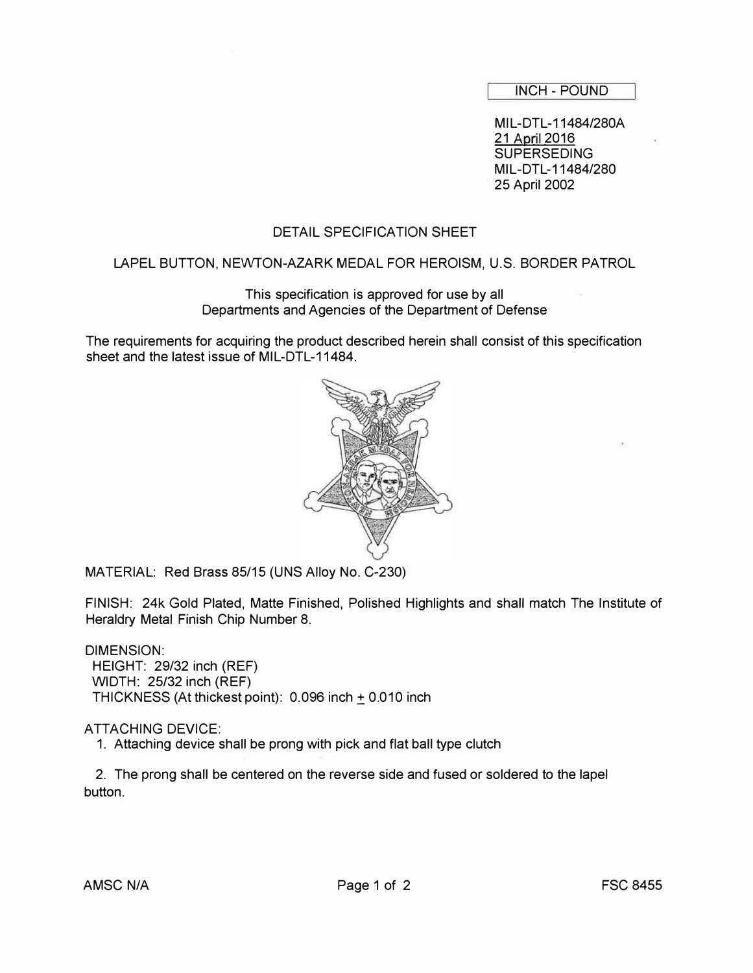INCH - POUND

MIL-DTL-11484/280A 21 April 2016 **SUPERSEDING** MIL-DTL-11484/280 25 April 2002

# DETAIL SPECIFICATION SHEET

## LAPEL BUTTON, NEWTON-AZARK MEDAL FOR HEROISM, U.S. BORDER PATROL

### This specification is approved for use by all Departments and Agencies of the Department of Defense

The requirements for acquiring the product described herein shall consist of this specification sheet and the latest issue of MIL-DTL-11484.



MATERIAL: Red Brass 85/15 (UNS Alloy No. C-230)

FINISH: 24k Gold Plated, Matte Finished, Polished Highlights and shall match The Institute of Heraldry Metal Finish Chip Number 8.

DIMENSION: HEIGHT: 29/32 inch (REF) WIDTH: 25/32 inch (REF) THICKNESS (At thickest point): 0.096 inch + 0.010 inch.

### ATTACHING DEVICE:

1. Attaching device shall be prong with pick and flat ball type clutch

2. The prong shall be centered on the reverse side and fused or soldered to the lapel button.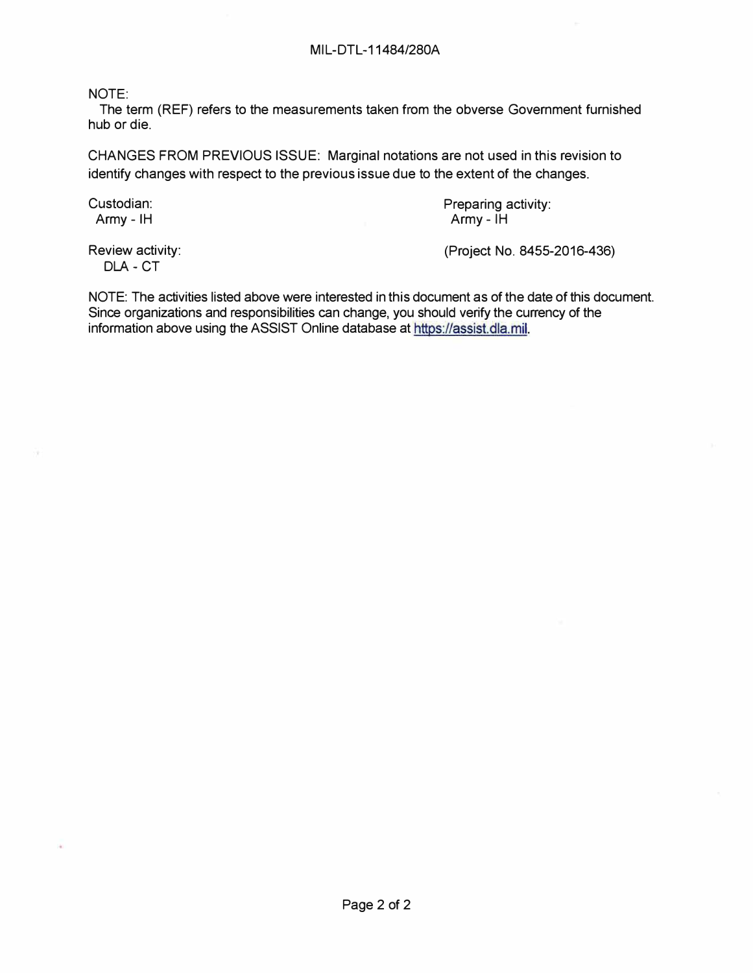NOTE:

The term (REF) refers to the measurements taken from the obverse Government furnished hub or die.

CHANGES FROM PREVIOUS ISSUE: Marginal notations are not used in this revision to identify changes with respect to the previous issue due to the extent of the changes.

Custodian: Custodian: Preparing activity:<br>
Army - IH Army - IH  $A$ rmy -  $IH$ 

DLA- CT

Review activity: (Project No. 8455-2016-436)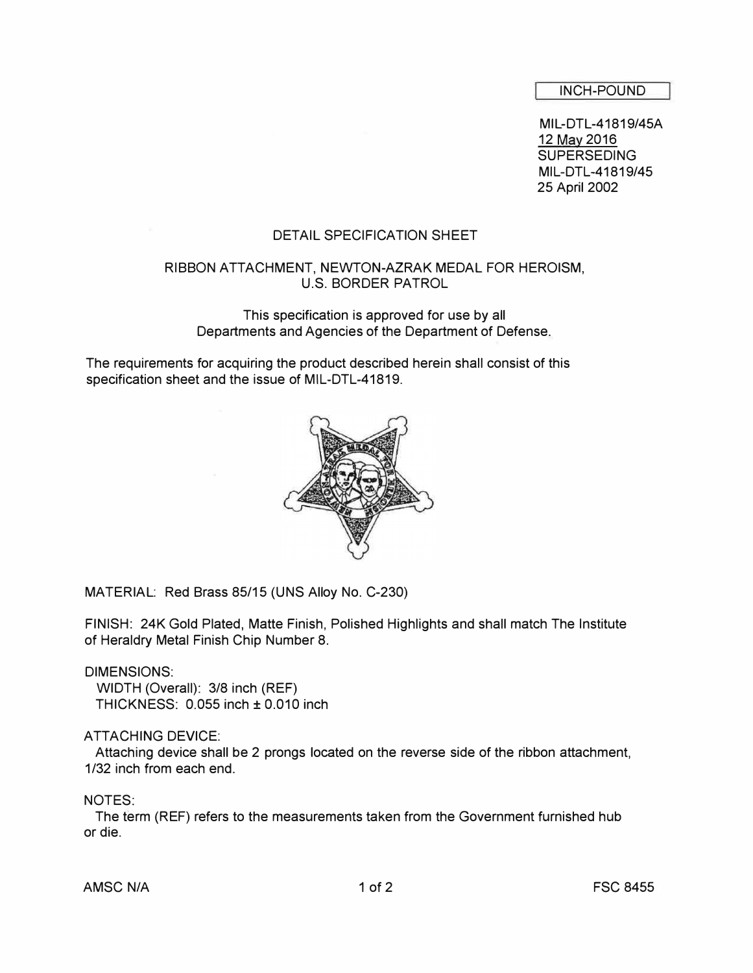INCH-POUND

MIL-DTL-41819/45A 12 May 2016 **SUPERSEDING** MIL-DTL-41819/45 25 April 2002

# DETAIL SPECIFICATION SHEET

# RIBBON ATTACHMENT, NEWTON-AZRAK MEDAL FOR HEROISM, U.S. BORDER PATROL

This specification is approved for use by all Departments and Agencies of the Department of Defense.

The requirements for acquiring the product described herein shall consist of this specification sheet and the issue of MIL-DTL-41819.



MATERIAL: Red Brass 85/15 (UNS Alloy No. C-230)

FINISH: 24K Gold Plated, Matte Finish, Polished Highlights and shall match The Institute of Heraldry Metal Finish Chip Number 8.

### DIMENSIONS:

WIDTH (Overall): 3/8 inch (REF) THICKNESS: 0.055 inch± 0.010 inch

### ATTACHING DEVICE:

Attaching device shall be 2 prongs located on the reverse side of the ribbon attachment, 1/32 inch from each end.

### NOTES:

The term (REF) refers to the measurements taken from the Government furnished hub or die.

AMSC N/A 1 of 2 The set of the set of the set of the set of the set of the set of the set of the set of the se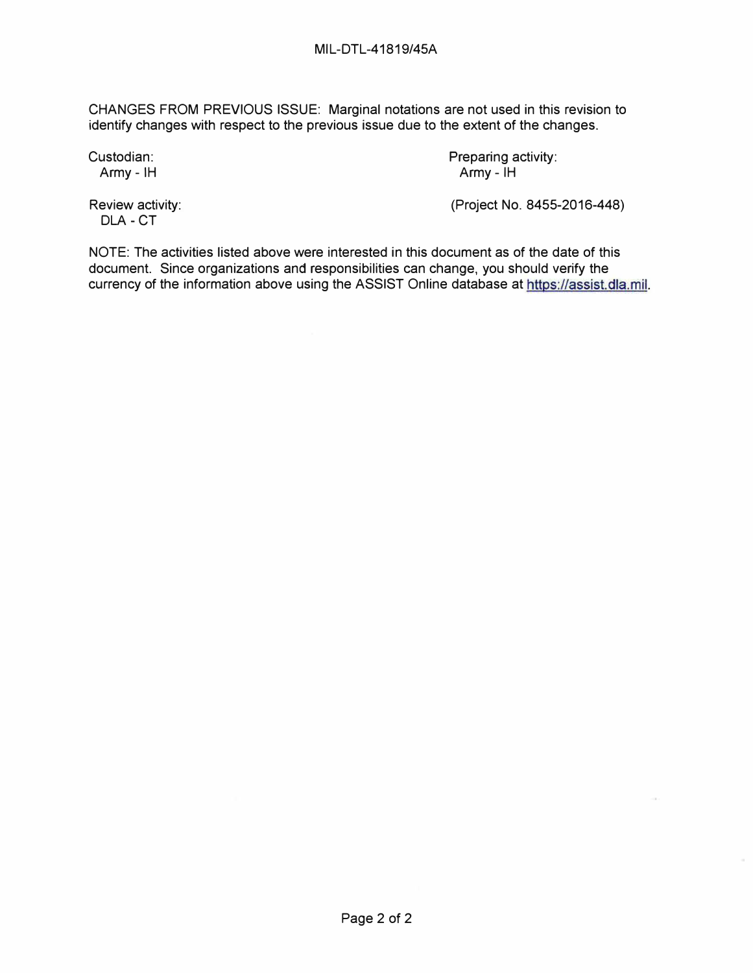CHANGES FROM PREVIOUS ISSUE: Marginal notations are not used in this revision to identify changes with respect to the previous issue due to the extent of the changes.

Custodian: Preparing activity: Army - IH Army - IH

DLA - CT

Review activity: (Project No. 8455-2016-448)